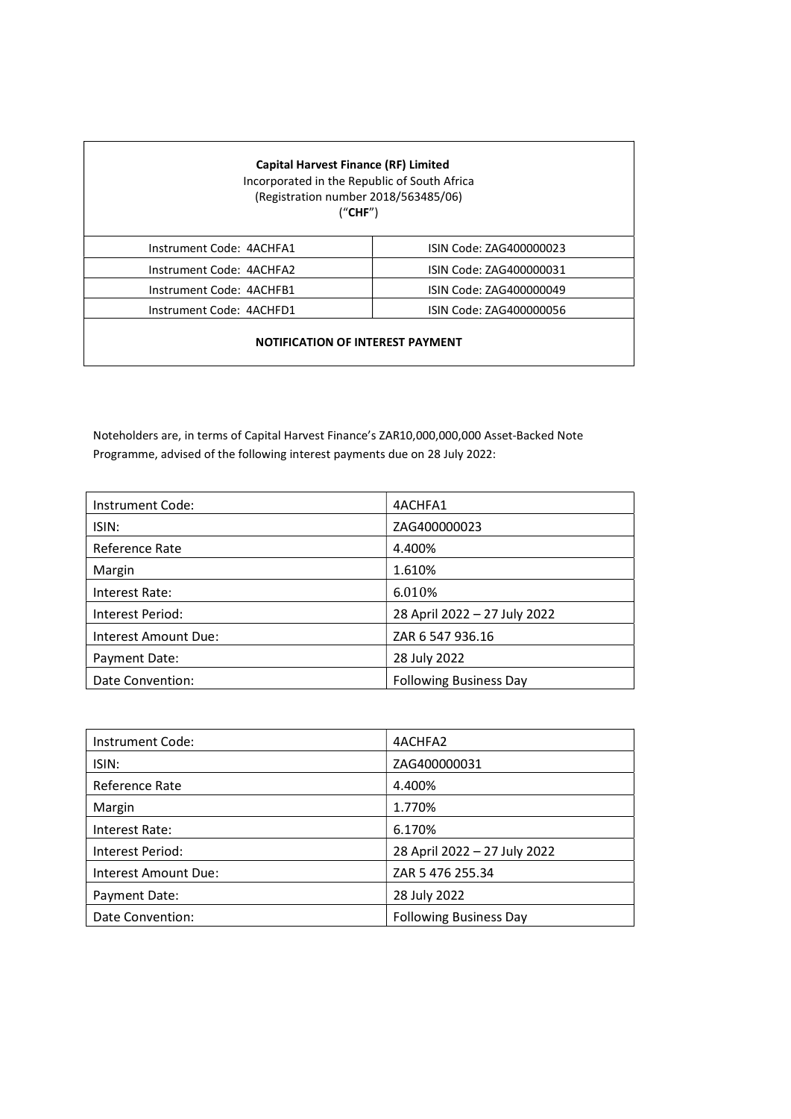| <b>Capital Harvest Finance (RF) Limited</b><br>Incorporated in the Republic of South Africa<br>(Registration number 2018/563485/06)<br>("CHF") |                         |  |
|------------------------------------------------------------------------------------------------------------------------------------------------|-------------------------|--|
| Instrument Code: 4ACHFA1                                                                                                                       | ISIN Code: ZAG400000023 |  |
| Instrument Code: 4ACHFA2                                                                                                                       | ISIN Code: ZAG400000031 |  |
| Instrument Code: 4ACHFB1                                                                                                                       | ISIN Code: ZAG400000049 |  |
| Instrument Code: 4ACHFD1                                                                                                                       | ISIN Code: ZAG400000056 |  |
| <b>NOTIFICATION OF INTEREST PAYMENT</b>                                                                                                        |                         |  |

Noteholders are, in terms of Capital Harvest Finance's ZAR10,000,000,000 Asset-Backed Note Programme, advised of the following interest payments due on 28 July 2022:

| Instrument Code:     | 4ACHFA1                       |
|----------------------|-------------------------------|
| ISIN:                | ZAG400000023                  |
| Reference Rate       | 4.400%                        |
| Margin               | 1.610%                        |
| Interest Rate:       | 6.010%                        |
| Interest Period:     | 28 April 2022 - 27 July 2022  |
| Interest Amount Due: | ZAR 6 547 936.16              |
| Payment Date:        | 28 July 2022                  |
| Date Convention:     | <b>Following Business Day</b> |

| Instrument Code:     | 4ACHFA2                       |
|----------------------|-------------------------------|
| ISIN:                | ZAG400000031                  |
| Reference Rate       | 4.400%                        |
| Margin               | 1.770%                        |
| Interest Rate:       | 6.170%                        |
| Interest Period:     | 28 April 2022 - 27 July 2022  |
| Interest Amount Due: | ZAR 5 476 255.34              |
| Payment Date:        | 28 July 2022                  |
| Date Convention:     | <b>Following Business Day</b> |